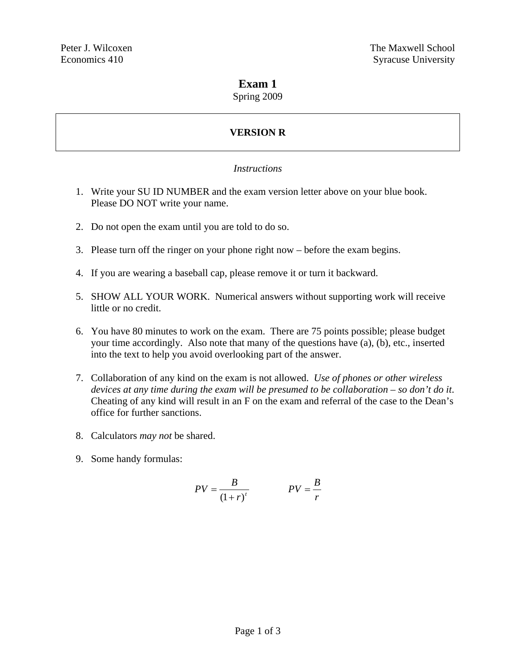### **Exam 1**

Spring 2009

# **VERSION R**

#### *Instructions*

- 1. Write your SU ID NUMBER and the exam version letter above on your blue book. Please DO NOT write your name.
- 2. Do not open the exam until you are told to do so.
- 3. Please turn off the ringer on your phone right now before the exam begins.
- 4. If you are wearing a baseball cap, please remove it or turn it backward.
- 5. SHOW ALL YOUR WORK. Numerical answers without supporting work will receive little or no credit.
- 6. You have 80 minutes to work on the exam. There are 75 points possible; please budget your time accordingly. Also note that many of the questions have (a), (b), etc., inserted into the text to help you avoid overlooking part of the answer.
- 7. Collaboration of any kind on the exam is not allowed. *Use of phones or other wireless devices at any time during the exam will be presumed to be collaboration – so don't do it*. Cheating of any kind will result in an F on the exam and referral of the case to the Dean's office for further sanctions.
- 8. Calculators *may not* be shared.
- 9. Some handy formulas:

$$
PV = \frac{B}{(1+r)^t}
$$
 
$$
PV = \frac{B}{r}
$$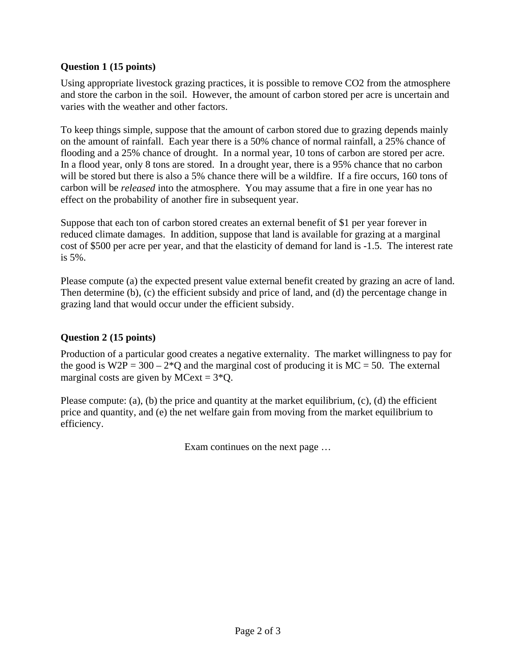### **Question 1 (15 points)**

Using appropriate livestock grazing practices, it is possible to remove CO2 from the atmosphere and store the carbon in the soil. However, the amount of carbon stored per acre is uncertain and varies with the weather and other factors.

To keep things simple, suppose that the amount of carbon stored due to grazing depends mainly on the amount of rainfall. Each year there is a 50% chance of normal rainfall, a 25% chance of flooding and a 25% chance of drought. In a normal year, 10 tons of carbon are stored per acre. In a flood year, only 8 tons are stored. In a drought year, there is a 95% chance that no carbon will be stored but there is also a 5% chance there will be a wildfire. If a fire occurs, 160 tons of carbon will be *released* into the atmosphere. You may assume that a fire in one year has no effect on the probability of another fire in subsequent year.

Suppose that each ton of carbon stored creates an external benefit of \$1 per year forever in reduced climate damages. In addition, suppose that land is available for grazing at a marginal cost of \$500 per acre per year, and that the elasticity of demand for land is -1.5. The interest rate is 5%.

Please compute (a) the expected present value external benefit created by grazing an acre of land. Then determine (b), (c) the efficient subsidy and price of land, and (d) the percentage change in grazing land that would occur under the efficient subsidy.

## **Question 2 (15 points)**

Production of a particular good creates a negative externality. The market willingness to pay for the good is  $W2P = 300 - 2*Q$  and the marginal cost of producing it is  $MC = 50$ . The external marginal costs are given by MCext =  $3*Q$ .

Please compute: (a), (b) the price and quantity at the market equilibrium, (c), (d) the efficient price and quantity, and (e) the net welfare gain from moving from the market equilibrium to efficiency.

Exam continues on the next page …